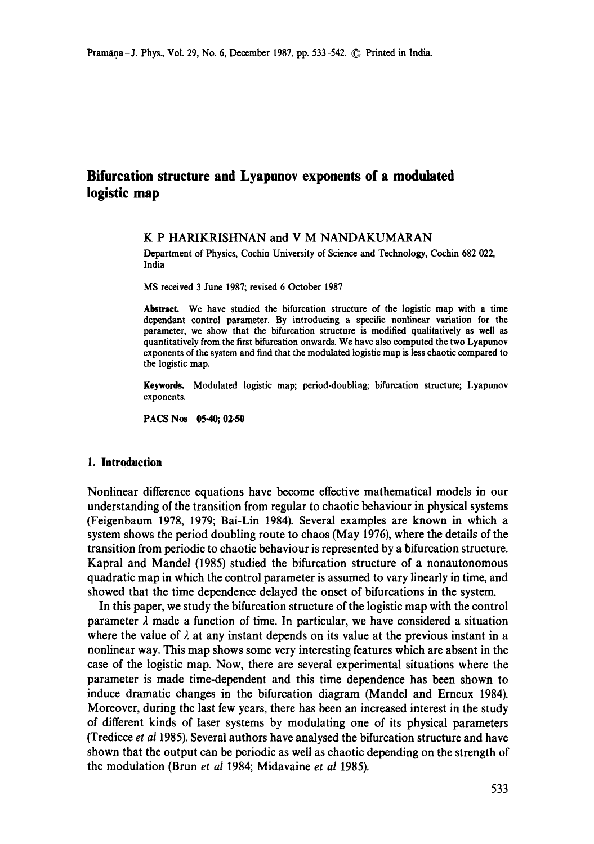# **Bifurcation structure and Lyapunov exponents of a modulated logistic map**

# K P HARIKRISHNAN and V M NANDAKUMARAN

Department of Physics, Cochin University of Science and Technology, Cochin 682 022, India

MS received 3 June 1987; revised 6 October 1987

**Abstract.** We have studied the bifurcation structure of the logistic map with a time **dependant** control parameter. By introducing a specific nonlinear variation for the parameter, we show that the bifurcation structure is modified qualitatively as well as quantitatively from the first bifurcation onwards. We have also computed **the two** Lyapunov exponents of the system and find that the modulated logistic map is less chaotic compared to the logistic map.

**Keywords.** Modulated logistic map; period-doubling; bifurcation structure; Lyapunov exponents.

PACS Nos 05.40; 02.50

# **1. Introduction**

Nonlinear difference equations have become effective mathematical models in our understanding of the transition from regular to chaotic behaviour in physical systems (Feigenbaum 1978, 1979; Bai-Lin 1984). Several examples are known in which a system shows the period doubling route to chaos (May 1976), where the details of the transition from periodic to chaotic behaviour is represented by a bifurcation structure. Kapral and Mandel (1985) studied the bifurcation structure of a nonautonomous quadratic map in which the control parameter is assumed to vary linearly in time, and showed that the time dependence delayed the onset of bifurcations in the system.

In this paper, we study the bifurcation structure of the logistic map with the control parameter  $\lambda$  made a function of time. In particular, we have considered a situation where the value of  $\lambda$  at any instant depends on its value at the previous instant in a nonlinear way. This map shows some very interesting features which are absent in the case of the logistic map. Now, there are several experimental situations where the parameter is made time-dependent and this time dependence has been shown to induce dramatic changes in the bifurcation diagram (Mandel and Erneux 1984). Moreover, during the last few years, there has been an increased interest in the study of different kinds of laser systems by modulating one of its physical parameters (Tredicce *et a11985).* Several authors have analysed the bifurcation structure and have shown that the output can be periodic as well as chaotic depending on the strength of the modulation (Brunet *al* 1984; Midavaine *et al* 1985).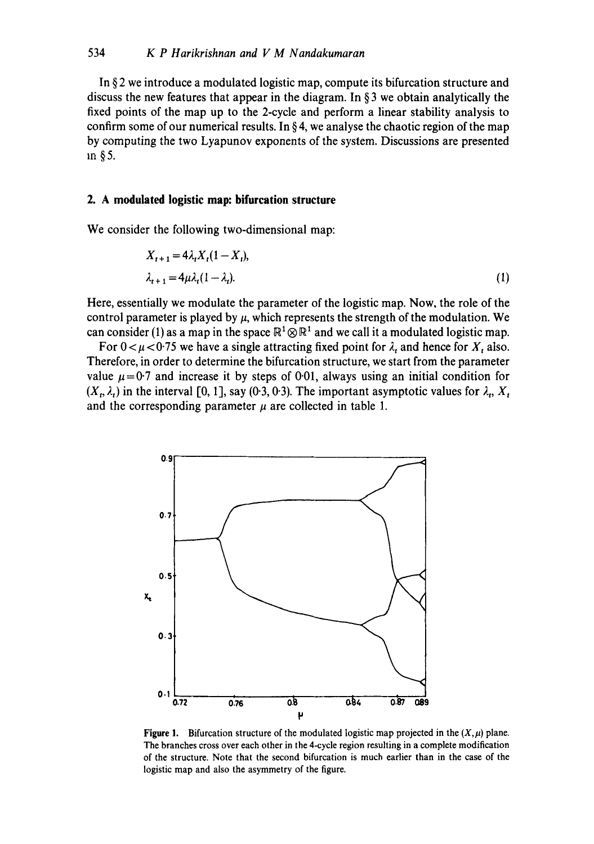In  $\S$ 2 we introduce a modulated logistic map, compute its bifurcation structure and discuss the new features that appear in the diagram. In § 3 we obtain analytically the fixed points of the map up to the 2-cycle and perform a linear stability analysis to confirm some of our numerical results. In  $\S 4$ , we analyse the chaotic region of the map by computing the two Lyapunov exponents of the system. Discussions are presented m §5.

# **2. A modulated logistic map: bifurcation structure**

We consider the following two-dimensional map:

$$
X_{t+1} = 4\lambda_t X_t (1 - X_t),
$$
  
\n
$$
\lambda_{t+1} = 4\mu \lambda_t (1 - \lambda_t).
$$
\n(1)

Here, essentially we modulate the parameter of the logistic map. Now, the role of the control parameter is played by  $\mu$ , which represents the strength of the modulation. We can consider (1) as a map in the space  $\mathbb{R}^1 \otimes \mathbb{R}^1$  and we call it a modulated logistic map.

For  $0 < \mu < 0.75$  we have a single attracting fixed point for  $\lambda_t$  and hence for  $X_t$  also. Therefore, in order to determine the bifurcation structure, we start from the parameter value  $\mu = 0.7$  and increase it by steps of 0.01, always using an initial condition for  $(X_t, \lambda_t)$  in the interval [0, 1], say (0.3, 0.3). The important asymptotic values for  $\lambda_t$ ,  $X_t$ and the corresponding parameter  $\mu$  are collected in table 1.



Figure 1. Bifurcation structure of the modulated logistic map projected in the  $(X,\mu)$  plane. The branches cross over each other in the 4-cycle region resulting in a complete modification of the structure. Note that the second bifurcation is much earlier than in the case of the logistic map and also the asymmetry of the figure.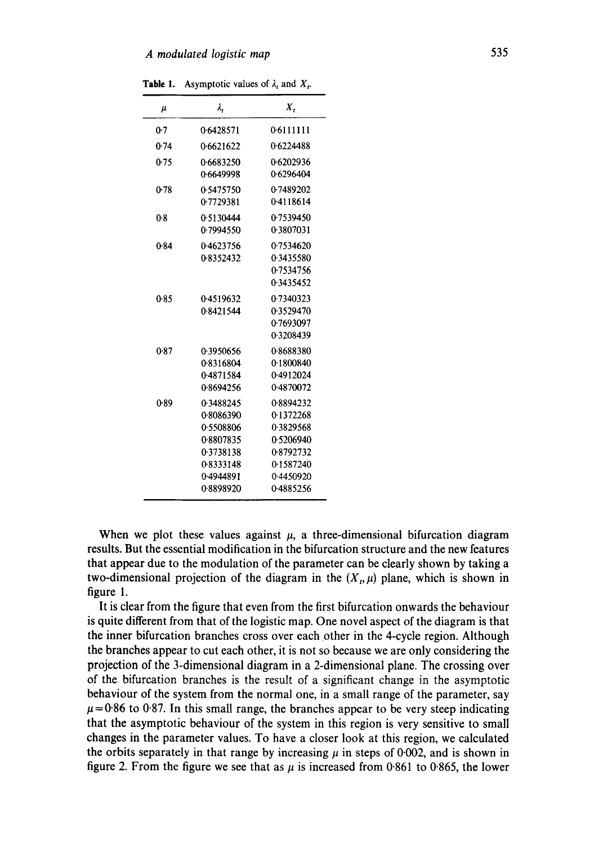| μ    | $\lambda_{i}$                                                                                        | Χ.                                                                                                   |
|------|------------------------------------------------------------------------------------------------------|------------------------------------------------------------------------------------------------------|
| 0.7  | 0.6428571                                                                                            | 0.6111111                                                                                            |
| 0.74 | 0.6621622                                                                                            | 0.6224488                                                                                            |
| 0.75 | 0.6683250<br>0.6649998                                                                               | 0.6202936<br>0.6296404                                                                               |
| 0.78 | 0.5475750<br>0.7729381                                                                               | 0.7489202<br>0.4118614                                                                               |
| 0.8  | 0.5130444<br>0.7994550                                                                               | 0.7539450<br>0.3807031                                                                               |
| 0.84 | 0.4623756<br>0.8352432                                                                               | 0.7534620<br>0.3435580<br>0.7534756<br>0.3435452                                                     |
| 0.85 | 0.4519632<br>0.8421544                                                                               | 0.7340323<br>0.3529470<br>0.7693097<br>0.3208439                                                     |
| 0.87 | 0.3950656<br>0.8316804<br>0.4871584<br>0.8694256                                                     | 0.8688380<br>0.1800840<br>0.4912024<br>0.4870072                                                     |
| 0.89 | 0.3488245<br>0.8086390<br>0.5508806<br>0.8807835<br>0.3738138<br>0.8333148<br>0.4944891<br>0.8898920 | 0.8894232<br>0.1372268<br>0.3829568<br>0.5206940<br>0.8792732<br>0.1587240<br>0.4450920<br>0.4885256 |

**Table 1.** Asymptotic values of  $\lambda_t$  and  $X_t$ .

When we plot these values against  $\mu$ , a three-dimensional bifurcation diagram results. But the essential modification in the bifurcation structure and the new features that appear due to the modulation of the parameter can be clearly shown by taking a two-dimensional projection of the diagram in the  $(X_t, \mu)$  plane, which is shown in figure 1.

It is clear from the figure that even from the first bifurcation onwards the behaviour is quite different from that of the logistic map. One novel aspect of the diagram is that the inner bifurcation branches cross over each other in the 4-cycle region. Although the branches appear to cut each other, it is not so because we are only considering the projection of the 3-dimensional diagram in a 2-dimensional plane. The crossing over of the bifurcation branches is the result of a significant change in the asymptotic behaviour of the system from the normal one, in a small range of the parameter, say  $\mu$ =0.86 to 0.87. In this small range, the branches appear to be very steep indicating that the asymptotic behaviour of the system in this region is very sensitive to small changes in the parameter values. To have a closer look at this region, we calculated the orbits separately in that range by increasing  $\mu$  in steps of 0.002, and is shown in figure 2. From the figure we see that as  $\mu$  is increased from 0.861 to 0.865, the lower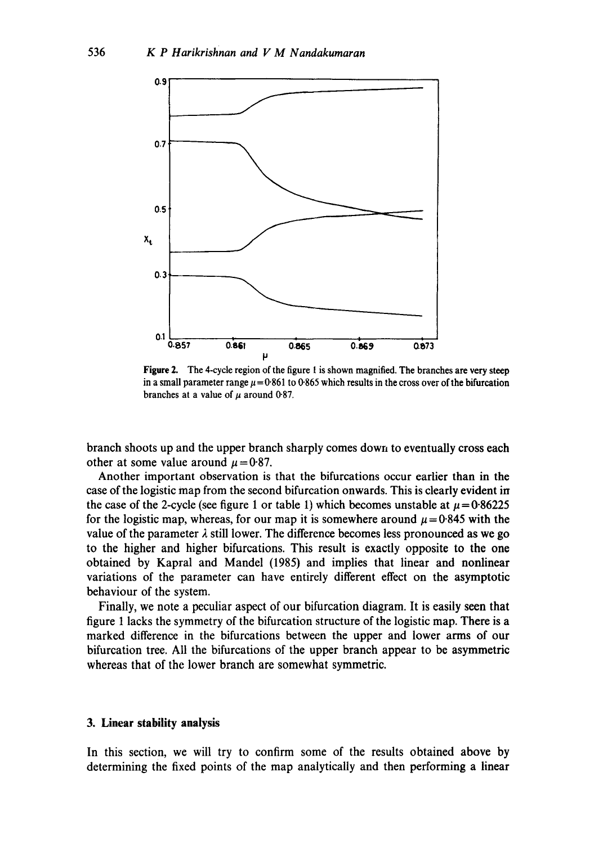

Figure 2. The 4-cycle region of the figure 1 is shown magnified. The branches are very steep in a small parameter range  $\mu = 0.861$  to 0.865 which results in the cross over of the bifurcation branches at a value of  $\mu$  around 0-87.

branch shoots up and the upper branch sharply comes down to eventually cross each other at some value around  $\mu = 0.87$ .

Another important observation is that the bifurcations occur earlier than in the case of the logistic map from the second bifurcation onwards. This is clearly evident in the case of the 2-cycle (see figure 1 or table 1) which becomes unstable at  $\mu = 0.86225$ for the logistic map, whereas, for our map it is somewhere around  $\mu = 0.845$  with the value of the parameter  $\lambda$  still lower. The difference becomes less pronounced as we go to the higher and higher bifurcations. This result is exactly opposite to the one obtained by Kapral and Mandel (1985) and implies that linear and nonlinear variations of the parameter can have entirely different effect on the asymptotic behaviour of the system.

Finally, we note a peculiar aspect of our bifurcation diagram. It is easily seen that figure 1 lacks the symmetry of the bifurcation structure of the logistic map. There is a marked difference in the bifurcations between the upper and lower arms of our bifurcation tree. All the bifurcations of the upper branch appear to be asymmetric whereas that of the lower branch are somewhat symmetric.

#### **3. Linear stability analysis**

In this section, we will try to confirm some of the results obtained above by determining the fixed points of the map analytically and then performing a linear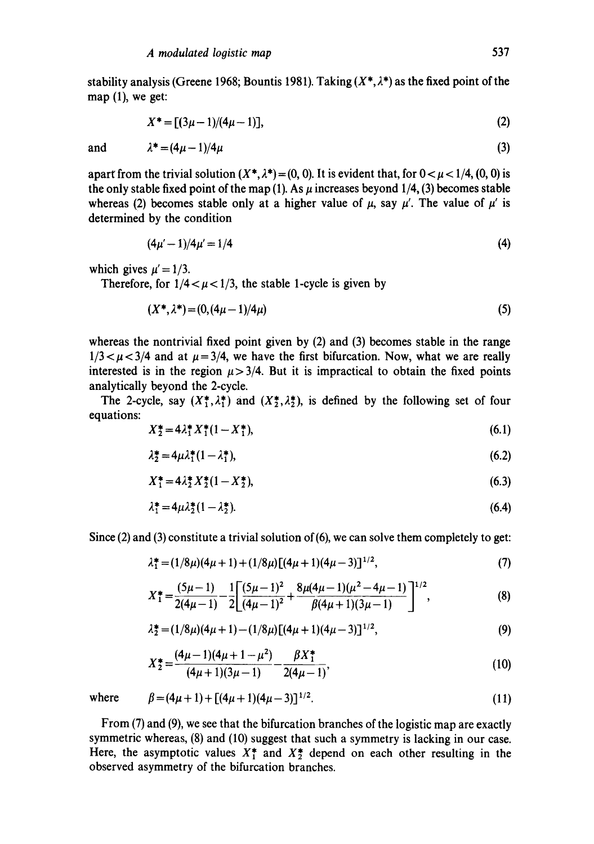stability analysis (Greene 1968; Bountis 1981). Taking  $(X^*, \lambda^*)$  as the fixed point of the map (1), we get:

$$
X^* = [(3\mu - 1)/(4\mu - 1)], \tag{2}
$$

and  $\lambda^* = (4\mu - 1)/4\mu$  (3)

apart from the trivial solution  $(X^*, \lambda^*) = (0, 0)$ . It is evident that, for  $0 < \mu < 1/4$ ,  $(0, 0)$  is the only stable fixed point of the map (1). As  $\mu$  increases beyond 1/4, (3) becomes stable whereas (2) becomes stable only at a higher value of  $\mu$ , say  $\mu'$ . The value of  $\mu'$  is determined by the condition

$$
(4\mu'-1)/4\mu'=1/4 \tag{4}
$$

which gives  $\mu' = 1/3$ .

Therefore, for  $1/4 < \mu < 1/3$ , the stable 1-cycle is given by

$$
(X^*, \lambda^*) = (0, (4\mu - 1)/4\mu) \tag{5}
$$

whereas the nontrivial fixed point given by (2) and (3) becomes stable in the range  $1/3 < \mu < 3/4$  and at  $\mu = 3/4$ , we have the first bifurcation. Now, what we are really interested is in the region  $\mu$  > 3/4. But it is impractical to obtain the fixed points analytically beyond the 2-cycle.

The 2-cycle, say  $(X_1^*, \lambda_1^*)$  and  $(X_2^*, \lambda_2^*)$ , is defined by the following set of four equations:

$$
X_2^* = 4\lambda_1^* X_1^* (1 - X_1^*), \tag{6.1}
$$

$$
\lambda_2^* = 4\mu \lambda_1^* (1 - \lambda_1^*),\tag{6.2}
$$

$$
X_1^* = 4\lambda_2^* X_2^* (1 - X_2^*),\tag{6.3}
$$

$$
\lambda_1^* = 4\mu\lambda_2^*(1 - \lambda_2^*). \tag{6.4}
$$

Since  $(2)$  and  $(3)$  constitute a trivial solution of  $(6)$ , we can solve them completely to get:

$$
\lambda_1^* = (1/8\mu)(4\mu + 1) + (1/8\mu)[(4\mu + 1)(4\mu - 3)]^{1/2},
$$
\n(7)

$$
X_1^* = \frac{(5\mu - 1)}{2(4\mu - 1)} - \frac{1}{2} \left[ \frac{(5\mu - 1)^2}{(4\mu - 1)^2} + \frac{8\mu(4\mu - 1)(\mu^2 - 4\mu - 1)}{\beta(4\mu + 1)(3\mu - 1)} \right]^{1/2},
$$
(8)

$$
\lambda_2^* = (1/8\mu)(4\mu + 1) - (1/8\mu)[(4\mu + 1)(4\mu - 3)]^{1/2},\tag{9}
$$

$$
X_2^* = \frac{(4\mu - 1)(4\mu + 1 - \mu^2)}{(4\mu + 1)(3\mu - 1)} - \frac{\beta X_1^*}{2(4\mu - 1)},
$$
\n(10)

where 
$$
\beta = (4\mu + 1) + [(4\mu + 1)(4\mu - 3)]^{1/2}
$$
. (11)

From (7) and (9), we see that the bifurcation branches of the logistic map are exactly symmetric whereas, (8) and (10) suggest that such a symmetry is lacking in our case. Here, the asymptotic values  $X^*$  and  $X^*$  depend on each other resulting in the observed asymmetry of the bifurcation branches.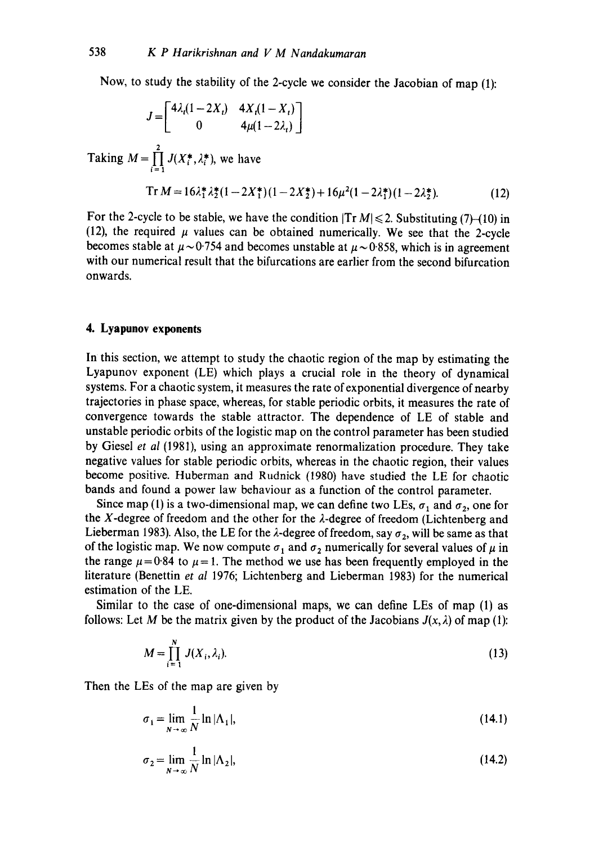Now, to study the stability of the 2-cycle we consider the Jacobian of map (1):

$$
J = \begin{bmatrix} 4\lambda_t (1 - 2X_t) & 4X_t (1 - X_t) \\ 0 & 4\mu (1 - 2\lambda_t) \end{bmatrix}
$$
  
Taking  $M = \prod_{i=1}^{2} J(X_i^*, \lambda_i^*)$ , we have  

$$
\text{Tr } M = 16\lambda_1^* \lambda_2^* (1 - 2X_1^*) (1 - 2X_2^*) + 16\mu^2 (1 - 2\lambda_1^*) (1 - 2\lambda_2^*).
$$
 (12)

For the 2-cycle to be stable, we have the condition  $|Tr M| \le 2$ . Substituting (7)-(10) in (12), the required  $\mu$  values can be obtained numerically. We see that the 2-cycle becomes stable at  $\mu \sim 0.754$  and becomes unstable at  $\mu \sim 0.858$ , which is in agreement with our numerical result that the bifurcations are earlier from the second bifurcation onwards.

#### **4. Lyapunov exponents**

In this section, we attempt to study the chaotic region of the map by estimating the Lyapunov exponent (LE) which plays a crucial role in the theory of dynamical systems. For a chaotic system, it measures the rate of exponential divergence of nearby trajectories in phase space, whereas, for stable periodic orbits, it measures the rate of convergence towards the stable attractor. The dependence of LE of stable and unstable periodic orbits of the logistic map on the control parameter has been studied by Giesel *et al* (1981), using an approximate renormalization procedure. They take negative values for stable periodic orbits, whereas in the chaotic region, their values become positive. Huberman and Rudnick (1980) have studied the LE for chaotic bands and found a power law behaviour as a function of the control parameter.

Since map (1) is a two-dimensional map, we can define two LEs,  $\sigma_1$  and  $\sigma_2$ , one for the X-degree of freedom and the other for the  $\lambda$ -degree of freedom (Lichtenberg and Lieberman 1983). Also, the LE for the  $\lambda$ -degree of freedom, say  $\sigma_2$ , will be same as that of the logistic map. We now compute  $\sigma_1$  and  $\sigma_2$  numerically for several values of  $\mu$  in the range  $\mu = 0.84$  to  $\mu = 1$ . The method we use has been frequently employed in the literature (Benettin *et al* 1976; Lichtenberg and Lieberman 1983) for the numerical estimation of the LE.

Similar to the case of one-dimensional maps, we can define LEs of map (1) as follows: Let M be the matrix given by the product of the Jacobians  $J(x, \lambda)$  of map (1):

$$
M = \prod_{i=1}^{N} J(X_i, \lambda_i). \tag{13}
$$

Then the LEs of the map are given by

$$
\sigma_1 = \lim_{N \to \infty} \frac{1}{N} \ln |\Lambda_1|, \tag{14.1}
$$

$$
\sigma_2 = \lim_{N \to \infty} \frac{1}{N} \ln |\Lambda_2|, \tag{14.2}
$$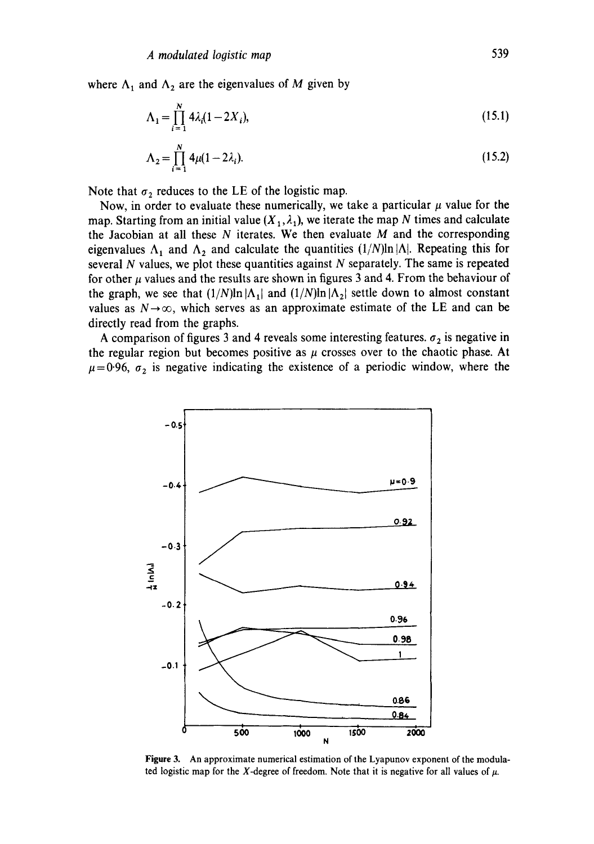where  $\Lambda_1$  and  $\Lambda_2$  are the eigenvalues of M given by

$$
\Lambda_1 = \prod_{i=1}^{N} 4\lambda_i (1 - 2X_i),\tag{15.1}
$$

$$
\Lambda_2 = \prod_{i=1}^{N} 4\mu (1 - 2\lambda_i). \tag{15.2}
$$

Note that  $\sigma_2$  reduces to the LE of the logistic map.

Now, in order to evaluate these numerically, we take a particular  $\mu$  value for the map. Starting from an initial value  $(X_1, \lambda_1)$ , we iterate the map N times and calculate the Jacobian at all these  $N$  iterates. We then evaluate  $M$  and the corresponding eigenvalues  $\Lambda_1$  and  $\Lambda_2$  and calculate the quantities  $(1/N)\ln|\Lambda|$ . Repeating this for several  $N$  values, we plot these quantities against  $N$  separately. The same is repeated for other  $\mu$  values and the results are shown in figures 3 and 4. From the behaviour of the graph, we see that  $(1/N)\ln|\Lambda_1|$  and  $(1/N)\ln|\Lambda_2|$  settle down to almost constant values as  $N \rightarrow \infty$ , which serves as an approximate estimate of the LE and can be directly read from the graphs.

A comparison of figures 3 and 4 reveals some interesting features.  $\sigma_2$  is negative in the regular region but becomes positive as  $\mu$  crosses over to the chaotic phase. At  $\mu$ =0.96,  $\sigma_2$  is negative indicating the existence of a periodic window, where the



**Figure** 3. An approximate numerical estimation of the Lyapunov exponent of the modulated logistic map for the X-degree of freedom. Note that it is negative for all values of  $\mu$ .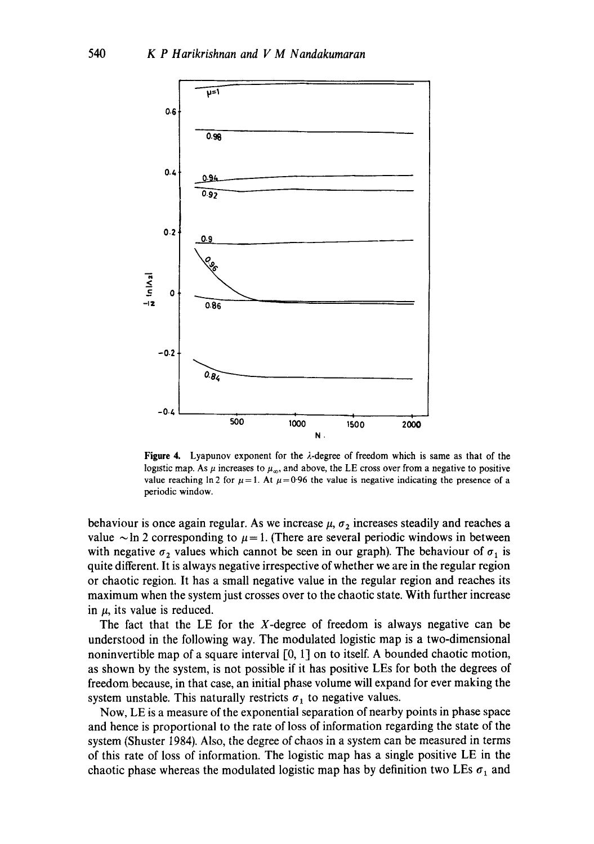

Figure 4. Lyapunov exponent for the  $\lambda$ -degree of freedom which is same as that of the logistic map. As  $\mu$  increases to  $\mu_{\infty}$ , and above, the LE cross over from a negative to positive value reaching ln 2 for  $\mu = 1$ . At  $\mu = 0.96$  the value is negative indicating the presence of a periodic window.

behaviour is once again regular. As we increase  $\mu$ ,  $\sigma_2$  increases steadily and reaches a value  $\sim$  ln 2 corresponding to  $\mu$  = 1. (There are several periodic windows in between with negative  $\sigma_2$  values which cannot be seen in our graph). The behaviour of  $\sigma_1$  is quite different. It is always negative irrespective of whether we are in the regular region or chaotic region. It has a small negative value in the regular region and reaches its maximum when the system just crosses over to the chaotic state. With further increase in  $\mu$ , its value is reduced.

The fact that the LE for the  $X$ -degree of freedom is always negative can be understood in the following way. The modulated logistic map is a two-dimensional noninvertible map of a square interval  $[0, 1]$  on to itself. A bounded chaotic motion, as shown by the system, is not possible if it has positive LEs for both the degrees of freedom because, in that case, an initial phase volume will expand for ever making the system unstable. This naturally restricts  $\sigma_1$  to negative values.

Now, LE is a measure of the exponential separation of nearby points in phase space and hence is proportional to the rate of loss of information regarding the state of the system (Shuster I984). Also, the degree of chaos in a system can be measured in terms of this rate of loss of information. The logistic map has a single positive LE in the chaotic phase whereas the modulated logistic map has by definition two LEs  $\sigma_1$  and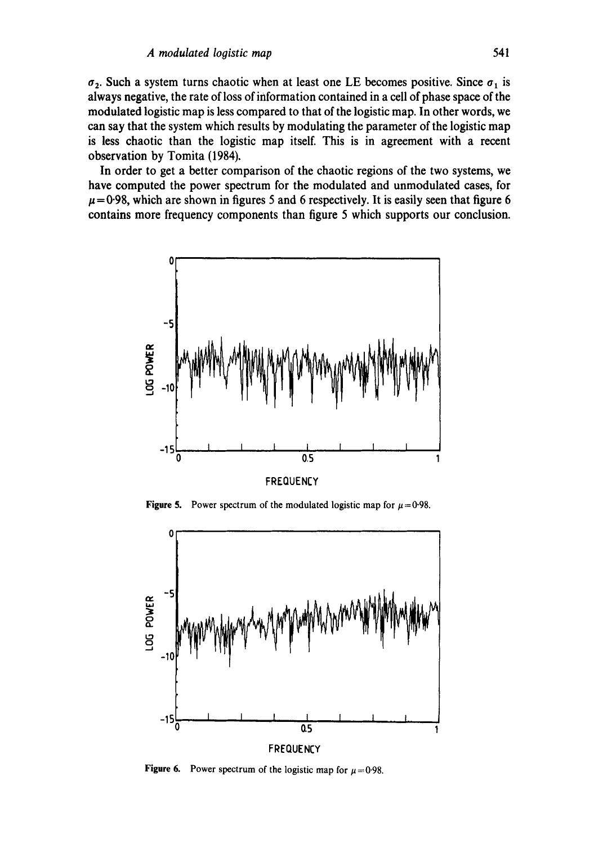$\sigma_2$ . Such a system turns chaotic when at least one LE becomes positive. Since  $\sigma_1$  is always negative, the rate of loss of information contained in a cell of phase space of the modulated logistic map is less compared to that of the logistic map. In other words, we can say that the system which results by modulating the parameter of the logistic map is less chaotic than the logistic map itself. This is in agreement with a recent observation by Tomita (1984).

In order to get a better comparison of the chaotic regions of the two systems, we have computed the power spectrum for the modulated and unmodulated cases, for  $\mu$  = 0.98, which are shown in figures 5 and 6 respectively. It is easily seen that figure 6 contains more frequency components than figure 5 which supports our conclusion.



Figure 5. Power spectrum of the modulated logistic map for  $\mu = 0.98$ .



Figure 6. Power spectrum of the logistic map for  $\mu = 0.98$ .